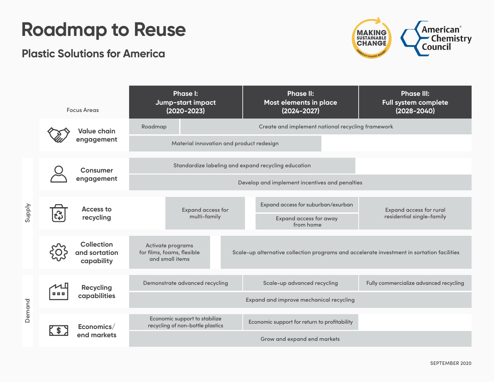## **Roadmap to Reuse**

## **Plastic Solutions for America**



|        | <b>Focus Areas</b> |                                                  | <b>Phase I:</b><br>Jump-start impact<br>$(2020 - 2023)$           |                                                   |  | <b>Phase II:</b><br>Most elements in place<br>$(2024 - 2027)$                              | <b>Phase III:</b><br><b>Full system complete</b><br>$(2028 - 2040)$ |  |  |  |
|--------|--------------------|--------------------------------------------------|-------------------------------------------------------------------|---------------------------------------------------|--|--------------------------------------------------------------------------------------------|---------------------------------------------------------------------|--|--|--|
|        |                    | <b>Value chain</b><br>engagement                 | Roadmap                                                           | Create and implement national recycling framework |  |                                                                                            |                                                                     |  |  |  |
|        |                    |                                                  | Material innovation and product redesign                          |                                                   |  |                                                                                            |                                                                     |  |  |  |
| Supply |                    | <b>Consumer</b><br>engagement                    | Standardize labeling and expand recycling education               |                                                   |  |                                                                                            |                                                                     |  |  |  |
|        |                    |                                                  | Develop and implement incentives and penalties                    |                                                   |  |                                                                                            |                                                                     |  |  |  |
|        |                    | <b>Access to</b><br>recycling                    |                                                                   | <b>Expand access for</b>                          |  | Expand access for suburban/exurban                                                         | <b>Expand access for rural</b>                                      |  |  |  |
|        |                    |                                                  |                                                                   | multi-family                                      |  | <b>Expand access for away</b><br>from home                                                 | residential single-family                                           |  |  |  |
|        |                    | <b>Collection</b><br>and sortation<br>capability | Activate programs                                                 |                                                   |  |                                                                                            |                                                                     |  |  |  |
|        |                    |                                                  | for films, foams, flexible<br>and small items                     |                                                   |  | Scale-up alternative collection programs and accelerate investment in sortation facilities |                                                                     |  |  |  |
| Demand |                    | <b>Recycling</b><br>capabilities                 | Demonstrate advanced recycling                                    |                                                   |  | Scale-up advanced recycling                                                                | Fully commercialize advanced recycling                              |  |  |  |
|        |                    |                                                  |                                                                   |                                                   |  | Expand and improve mechanical recycling                                                    |                                                                     |  |  |  |
|        |                    |                                                  |                                                                   |                                                   |  |                                                                                            |                                                                     |  |  |  |
|        |                    | Economics/<br>end markets                        | Economic support to stabilize<br>recycling of non-bottle plastics |                                                   |  | Economic support for return to profitability                                               |                                                                     |  |  |  |
|        |                    |                                                  |                                                                   |                                                   |  | Grow and expand end markets                                                                |                                                                     |  |  |  |